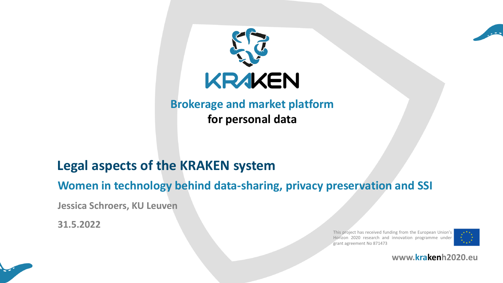



## **Legal aspects of the KRAKEN system**

**Women in technology behind data-sharing, privacy preservation and SSI**

**Jessica Schroers, KU Leuven**

**31.5.2022**

This project has received funding from the European Union's Horizon 2020 research and innovation programme under grant agreement No 871473





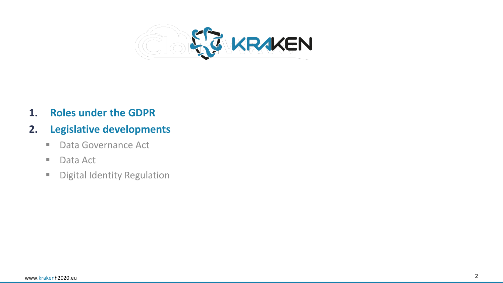

**1. Roles under the GDPR**

## **2. Legislative developments**

- Data Governance Act
- Data Act
- **E** Digital Identity Regulation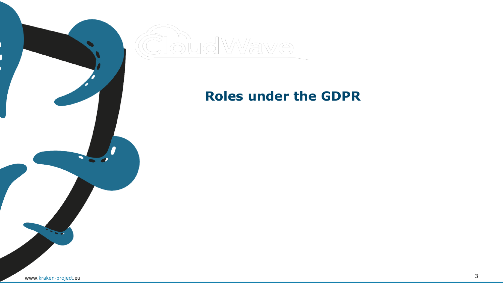

## **Roles under the GDPR**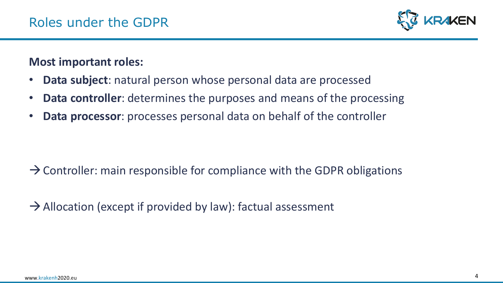

### **Most important roles:**

- **Data subject**: natural person whose personal data are processed
- **Data controller**: determines the purposes and means of the processing
- **Data processor**: processes personal data on behalf of the controller

- $\rightarrow$  Controller: main responsible for compliance with the GDPR obligations
- $\rightarrow$  Allocation (except if provided by law): factual assessment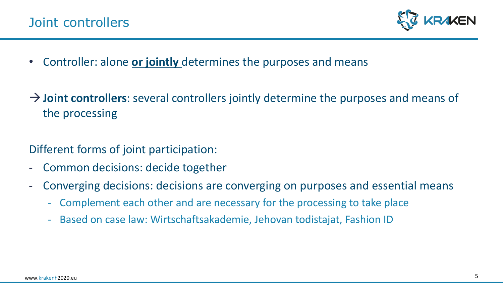

- Controller: alone **or jointly** determines the purposes and means
- → **Joint controllers**: several controllers jointly determine the purposes and means of the processing

## Different forms of joint participation:

- Common decisions: decide together
- Converging decisions: decisions are converging on purposes and essential means
	- Complement each other and are necessary for the processing to take place
	- Based on case law: Wirtschaftsakademie, Jehovan todistajat, Fashion ID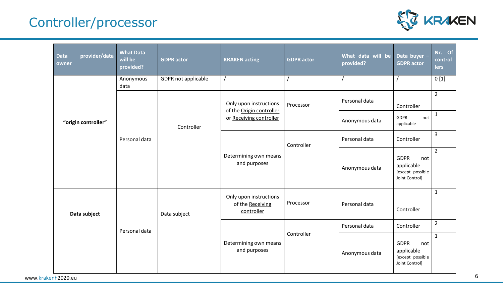# Controller/processor



| provider/data<br><b>Data</b><br>owner | <b>What Data</b><br>will be<br>provided? | <b>GDPR</b> actor          | <b>KRAKEN</b> acting                                                          | <b>GDPR</b> actor | What data will be<br>provided? | Data buyer -<br><b>GDPR</b> actor                                      | Nr. Of<br>control<br><b>lers</b> |
|---------------------------------------|------------------------------------------|----------------------------|-------------------------------------------------------------------------------|-------------------|--------------------------------|------------------------------------------------------------------------|----------------------------------|
| "origin controller"                   | Anonymous<br>data                        | <b>GDPR not applicable</b> |                                                                               |                   |                                |                                                                        | 0[1]                             |
|                                       | Personal data                            | Controller                 | Only upon instructions<br>of the Origin controller<br>or Receiving controller | Processor         | Personal data                  | Controller                                                             | $\overline{2}$                   |
|                                       |                                          |                            |                                                                               |                   | Anonymous data                 | <b>GDPR</b><br>not<br>applicable                                       | $\mathbf{1}$                     |
|                                       |                                          |                            | Determining own means<br>and purposes                                         | Controller        | Personal data                  | Controller                                                             | 3                                |
|                                       |                                          |                            |                                                                               |                   | Anonymous data                 | <b>GDPR</b><br>not<br>applicable<br>[except possible<br>Joint Control] | $\overline{2}$                   |
| Data subject                          | Personal data                            | Data subject               | Only upon instructions<br>of the Receiving<br>controller                      | Processor         | Personal data                  | Controller                                                             | $\mathbf{1}$                     |
|                                       |                                          |                            | Determining own means<br>and purposes                                         | Controller        | Personal data                  | Controller                                                             | $\overline{2}$                   |
|                                       |                                          |                            |                                                                               |                   | Anonymous data                 | <b>GDPR</b><br>not<br>applicable<br>[except possible<br>Joint Control] | $\mathbf{1}$                     |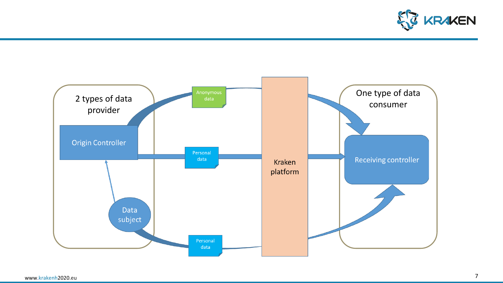

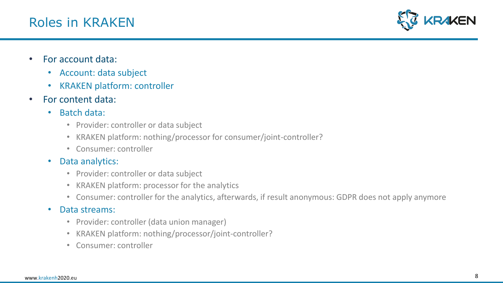

- For account data:
	- Account: data subject
	- KRAKEN platform: controller
- For content data:
	- Batch data:
		- Provider: controller or data subject
		- KRAKEN platform: nothing/processor for consumer/joint-controller?
		- Consumer: controller
	- Data analytics:
		- Provider: controller or data subject
		- KRAKEN platform: processor for the analytics
		- Consumer: controller for the analytics, afterwards, if result anonymous: GDPR does not apply anymore

#### • Data streams:

- Provider: controller (data union manager)
- KRAKEN platform: nothing/processor/joint-controller?
- Consumer: controller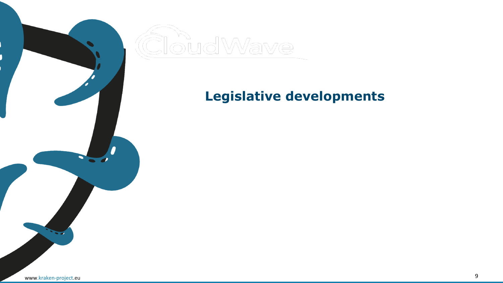

# **Legislative developments**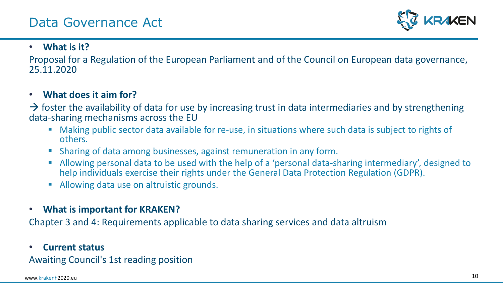

#### • **What is it?**

Proposal for a Regulation of the European Parliament and of the Council on European data governance, 25.11.2020

#### • **What does it aim for?**

 $\rightarrow$  foster the availability of data for use by increasing trust in data intermediaries and by strengthening data-sharing mechanisms across the EU

- Making public sector data available for re-use, in situations where such data is subject to rights of others.
- Sharing of data among businesses, against remuneration in any form.
- Allowing personal data to be used with the help of a 'personal data-sharing intermediary', designed to help individuals exercise their rights under the General Data Protection Regulation (GDPR).
- Allowing data use on altruistic grounds.
- **What is important for KRAKEN?**

Chapter 3 and 4: Requirements applicable to data sharing services and data altruism

#### • **Current status**

Awaiting Council's 1st reading position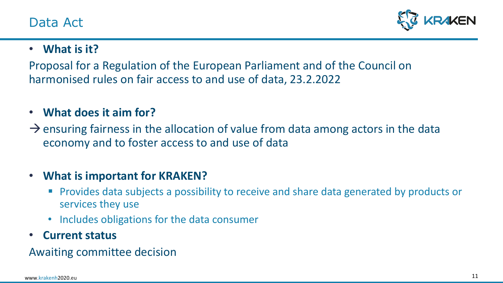

## • **What is it?**

Proposal for a Regulation of the European Parliament and of the Council on harmonised rules on fair access to and use of data, 23.2.2022

### • **What does it aim for?**

 $\rightarrow$  ensuring fairness in the allocation of value from data among actors in the data economy and to foster access to and use of data

## • **What is important for KRAKEN?**

- Provides data subjects a possibility to receive and share data generated by products or services they use
- Includes obligations for the data consumer
- **Current status**

Awaiting committee decision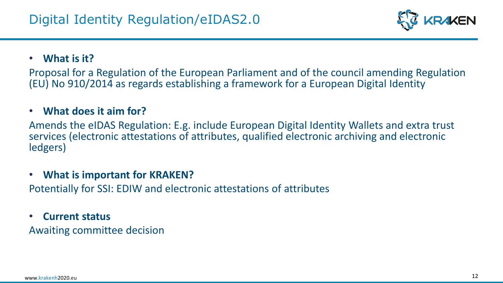

### • **What is it?**

Proposal for a Regulation of the European Parliament and of the council amending Regulation (EU) No 910/2014 as regards establishing a framework for a European Digital Identity

#### • **What does it aim for?**

Amends the eIDAS Regulation: E.g. include European Digital Identity Wallets and extra trust services (electronic attestations of attributes, qualified electronic archiving and electronic ledgers)

### • **What is important for KRAKEN?**

Potentially for SSI: EDIW and electronic attestations of attributes

#### • **Current status**

Awaiting committee decision